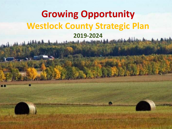# **Growing Opportunity Westlock County Strategic Plan 2019-2024**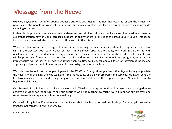### **Message from the Reeve**

*Growing Opportunity* identifies County Council's strategic priorities for the next five years. It reflects the values and priorities of the people of Westlock County and the financial realities we face as a rural municipality in a rapidly changing economy.

It identifies improved communication with citizens and stakeholders, financial resiliency, results-based investment in our transportation network, and increased support for quality of life initiatives as the areas County Council intends to focus on over the remainder of our term in office and into the future.

While our plan doesn't include big, bold new initiatives or major infrastructure investments, it signals an important shift in the way Westlock County does business. As we move forward, the County will work in partnership with residents and ensure that decision-making processes are transparent and reflective of the needs of all residents. We will keep our eyes firmly on the bottom-line and live within our means. Investments in our programs, services and infrastructure will be based on evidence rather than politics. Your councillors will focus on developing policy and approving budgets instead of being involved in day-to-day operational decisions.

We only have to look back a couple of years to the *Westlock County Municipal Inspection Report* to fully appreciate the necessity of changing the way we govern the municipality and deliver programs and services. We have spent the last two years successfully addressing many of the concerns identified in the inspection report. Now is the time to begin to look forward.

Our Strategic Plan is intended to inspire everyone in Westlock County to consider how we can work together to achieve our vision for the future. While our priorities won't be reached overnight, we will monitor our progress and report to residents regularly on how we are doing.

On behalf of my fellow Councillors and our dedicated staff, I invite you to read our Strategic Plan and get involved in *growing opportunity* in Westlock County.



Reeve Lou Hall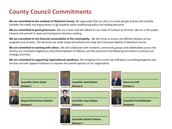### **County Council Commitments**

**We are committed to the residents of Westlock County.** We appreciate that our role is to serve people and we will carefully consider the needs and expectations of all residents when establishing policy and making decisions.

**We are committed to good governance.** We are a team and will adhere to our Code of Conduct at all times. We act in the public interest and commit to open and transparent decision-making.

**We are committed to the financial sustainability of the municipality.** We will strive to ensure the efficient delivery of our programs and services. The decisions we make today will enhance the long-term financial stability of Westlock County.

**We are committed to working with others.** We will collaborate with residents, community groups and stakeholders across the County, our municipal neighbours, Rural Municipalities of Alberta, and the provincial and federal governments to achieve our strategic priorities.

**We are committed to supporting organizational excellence.** We recognize the crucial role staff play in providing programs and services and will support initiatives to improve the overall capacity of our organization.

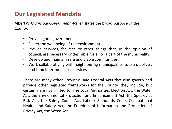### **Our Legislated Mandate**

Alberta's *Municipal Government Act* legislates the broad purpose of the County:

- Provide good government
- Foster the well-being of the environment
- Provide services, facilities or other things that, in the opinion of council, are necessary or desirable for all or a part of the municipality
- Develop and maintain safe and viable communities
- Work collaboratively with neighbouring municipalities to plan, deliver, and fund inter-municipal services

There are many other Provincial and Federal Acts that also govern and provide other legislated frameworks for the County, they include, but certainly are not limited to: The Local Authorities Election Act, the Water Act, the Environmental Protection and Enhancement Act, the Species at Risk Act, the Safety Codes Act, Labour Standards Code, Occupational Health and Safety Act, the Freedom of Information and Protection of Privacy Act, the Weed Act.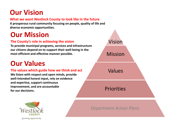# **Our Vision**

#### **What we want Westlock County to look like in the future**

**A prosperous rural community focusing on people, quality of life and diverse economic opportunities.**

## **Our Mission**

#### **The County's role in achieving the vision**

**To provide municipal programs, services and infrastructure our citizens depend on to support their well-being in the most efficient and effective manner possible.**

## **Our Values**

#### **The values which guide how we think and act**

**We listen with respect and open minds, provide well-intended honest input, rely on evidence and expertise, support continuous improvement, and are accountable for our decisions.**



growing opportunity

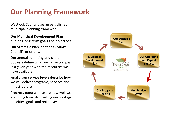# **Our Planning Framework**

Westlock County uses an established municipal planning framework.

Our **Municipal Development Plan**  outlines long-term goals and objectives.

Our **Strategic Plan** identifies County Council's priorities.

Our annual operating and capital **budgets** define what we can accomplish in a given year with the resources we have available.

Finally, our **service levels** describe how we will deliver programs, services and infrastructure.

**Progress reports** measure how well we are doing towards meeting our strategic priorities, goals and objectives.

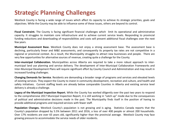### **Strategic Planning Challenges**

Westlock County is facing a wide range of issues which affect its capacity to achieve its strategic priorities, goals and objectives. While the County may be able to influence some of these issues, others are beyond its control.

**Fiscal Constraint.** The County is facing significant financial challenges which limit its operational and administrative capacity. It struggles to maintain core infrastructure and to achieve current service levels. Responding to provincial funding reductions and downloading of responsibilities and costs will present additional fiscal challenges over the next few years.

**Municipal Assessment Base.** Westlock County does not enjoy a strong assessment base. The assessment base is declining, particularly linear and M&E assessments, and consequently its property tax rates are not competitive in a regional or provincial context. As a result, the Municipality struggles to attract new businesses and people. There are very few opportunities for alternative sources of revenue, creating quite a challenge for the County.

**Inter-municipal Collaboration.** Municipalities across Alberta are required to take a more robust approach to intermunicipal land use planning and service delivery. The development of Inter-Municipal Collaboration Frameworks and Inter-Municipal Development Plans will require significant effort by County Council and Administration and may result in increased funding challenges.

**Changing Demands for Service**. Residents are demanding a broader range of programs and services and elevated levels of existing services. They expect the County to invest in community development, recreation and culture, and health and safety initiatives. Current staffing levels are already below comparable Counties in Alberta and existing service level delivery is already a challenge.

**Legacy of the Municipal Inspection Report.** While the County has worked diligently over the past two years to respond to the comprehensive 2017 Municipal Inspection Report, it is still working in "catch up" mode due to the consequences of political and administrative decisions made in the past. The Municipality finds itself in the position of having to provide additional programs and required services with fewer staff.

**Population Changes.** Westlock County's population is not growing and is aging. Statistics Canada reports that the County's population dropped by 5.5% between 2011 and 2016, a loss of over 400 people or almost 200 households. Over 17% residents are over 65 years old, significantly higher than the provincial average. Westlock County may face growing pressure to accommodate the service needs of older residents.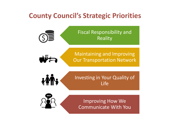## **County Council's Strategic Priorities**

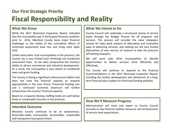### **Our First Strategic Priority Fiscal Responsibility and Reality**

#### **What We Know**

While the 2017 Municipal Inspection Report indicated that the municipality was in fairly good financial condition prior to 2016, Westlock County faces major financial challenges as the reality of the cumulative effects of continued assessment base loss and rising costs takes hold.

Unlike many other rural municipalities in the province, the County has a very limited (and shrinking) non-residential assessment base. Its tax rates compromise the County's ability to attract commercial and industrial development. As a result, the municipality is over-reliant on residential taxes and grant funding.

The County is facing a significant infrastructure deficit and does not have the financial capacity to respond appropriately in the near future. Provincial funding cuts and a continued economic downturn will further compromise the County's financial capacity.

Based on a Capacity Review, staffing levels are well below those in comparable Counties in the province.

#### **Intended Outcome**

Westlock County continues to be an autonomous, financially-viable municipality, accountable, responsible and transparent local government.

#### **What We Intend to Do**

County Council will undertake a structured review of service levels through the Budget Process for all programs and services. This process will consider the value ratepayers receive for taxes paid; analysis of alternative and innovative ways of delivering services; and seeking out the very limited alternatives of new sources of revenue to take the pressure off existing taxpayers.

We will work with other municipalities to identify opportunities to deliver services more efficiently and effectively.

The County will continue to respond to the financial recommendations in the 2017 Municipal Inspection Report, including the further development and refinement of a longterm financial plan (subject to Provincial funding stability).

#### **How We'll Measure Progress**

Administration will track and report to County Council annually on key financial viability measures and achievements of service level expectations.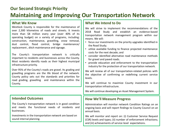### **Our Second Strategic Priority**

### **Maintaining and Improving Our Transportation Network**

#### **What We Know**

Westlock County is responsible for the maintenance of over 2,300 kilometres of roads and streets. It invests more than \$8 million every year (over 40% of its operating budget) on a variety of programs, including: construction, maintenance, gravelling, snow removal, dust control, flood control, bridge maintenance/ replacement , ditch maintenance and signage.

The County's transportation network is critically important to residents and businesses across the County. Most residents identify roads as their highest municipal infrastructure priority.

Over 95% of the County's roads are gravel. Its grading and gravelling programs are the life blood of the network. County policy sets out the standards and priorities for road grading, gravelling and maintenance within the County.

#### **Intended Outcomes**

The County's transportation network is in good condition and meets the functional needs of residents and businesses.

Investments in the transportation network are based on sound internal planning.

#### **What We Intend to Do**

We will strive to implement the recommendations of the 2018 Road Study and establish an evidence-based transportation network management program within our means. We will:

- focus our investments on the priority upgrades identified in the Road Study;
- utilize available funding to finance projected maintenance costs for the next decade; and
- consider identified alternative road maintenance methods for gravel and paved roads.
- provide education and enforcement to the transportation industry for the protection of our transportation network.

We will review all of our transportation-related policies with the objective of confirming or redefining current service levels.

We will continue to maximize County investment in our transportation infrastructure.

We will continue developing an Asset Management System.

#### **How We'll Measure Progress**

Administration will monitor network Condition Ratings on an ongoing basis and will report findings to County Council on an annual basis.

We will monitor and report on: (i) Customer Service Request (CSR) levels and types; (ii) number of enforcement infractions; and (iii) achievements of service level expectations.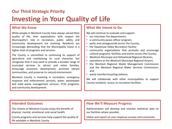## **Our Third Strategic Priority**

# **Investing in Your Quality of Life**

#### **What We Know**

While people in Westlock County have always valued their quality of life, their expectations with respect the Municipality's role in recreation, public safety and community development are evolving. Residents are increasingly demanding that the Municipality invest in a higher level of programs and services.

The County is committed to continuing its support of agriculture and maintaining its rural character, but recognizes that it may need to provide a broader range of municipal services to attract and retain families, encourage economic development, promote vibrant communities, and preserve its natural environment.

Westlock County is investing in recreation; emergency response and enforcement services; water, wastewater and solid waste management services; FCSS programs; and community development.

#### **What We Intend to Do**

We will continue to evaluate and support:

- our volunteer fire departments;
- a community peace officer program;
- parks and campgrounds across the County;
- the Tawatinaw Valley Recreation Facility;
- community organizations that promote and encourage cultural programs, facilities and events across the County;
- Westlock Municipal and Yellowhead Regional libraries;
- operations at the Westlock Municipal Regional Airport;
- the Westlock Regional Waste Management Commission and the Westlock Regional Water Services Commission; and
- waste transfer/recycling stations;

We will collaborate with other municipalities to support County residents' access to recreation facilities.

#### **Intended Outcomes**

The citizens of Westlock County enjoy the benefits of physical, mental, emotional, and social health.

County programs and services help support the quality of life available in Westlock County

#### **How We'll Measure Progress**

Administration will develop and monitor statistical data on our facilities where possible.

Utilize and report on user response surveys and comments.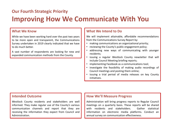### **Our Fourth Strategic Priority**

## **Improving How We Communicate With You**

#### **What We Know**

While we have been working hard over the past two years to be more open and transparent, the Communications Survey undertaken in 2019 clearly indicated that we have to do much better.

A vast number of respondents are looking for new and expanded communication methods from the County.

#### **What We Intend to Do**

We will implement attainable, affordable recommendations from the Communications Survey Report by:

- making communications an organizational priority;
- reviewing the County's public engagement policy;
- addressing new ways of communicating with younger residents;
- issuing a regular Westlock County newsletter that will include Council Meeting briefing reports;
- implementing Facebook as a communications tool;
- investigate the feasibility of making audio recordings of Council meetings and posting them online;
- issuing a trial period of media releases on key County initiatives.

#### **Intended Outcome**

Westlock County residents and stakeholders are well informed. They make regular use of the County's various communication channels and report that they are receiving the information they expect from Council and Administration.

#### **How We'll Measure Progress**

Administration will bring progress reports to Regular Council meetings on a quarterly basis. These reports will be shared with residents and stakeholders. Gather statistical information on electronic media platforms. Conduct an annual survey on communication effectiveness.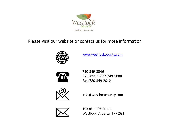

### Please visit our website or contact us for more information



[www.westlockcounty.com](http://www.westlockcounty.com/)



780-349-3346 Toll Free: 1-877-349-5880 Fax: 780-349-2012



info@westlockcounty.com



10336 – 106 Street Westlock, Alberta T7P 2G1